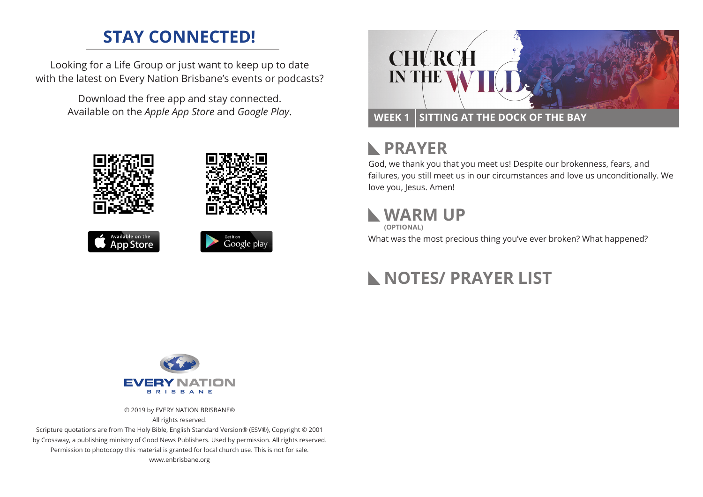#### **STAY CONNECTED!**

Looking for a Life Group or just want to keep up to date with the latest on Every Nation Brisbane's events or podcasts?

> Download the free app and stay connected. Available on the *Apple App Store* and *Google Play*.





# **RAYER**

God, we thank you that you meet us! Despite our brokenness, fears, and failures, you still meet us in our circumstances and love us unconditionally. We love you, Jesus. Amen!

## **WARM UP**

**(OPTIONAL)**

What was the most precious thing you've ever broken? What happened?

# **NOTES/ PRAYER LIST**



© 2019 by EVERY NATION BRISBANE® All rights reserved.

Scripture quotations are from The Holy Bible, English Standard Version® (ESV®), Copyright © 2001 by Crossway, a publishing ministry of Good News Publishers. Used by permission. All rights reserved. Permission to photocopy this material is granted for local church use. This is not for sale. www.enbrisbane.org